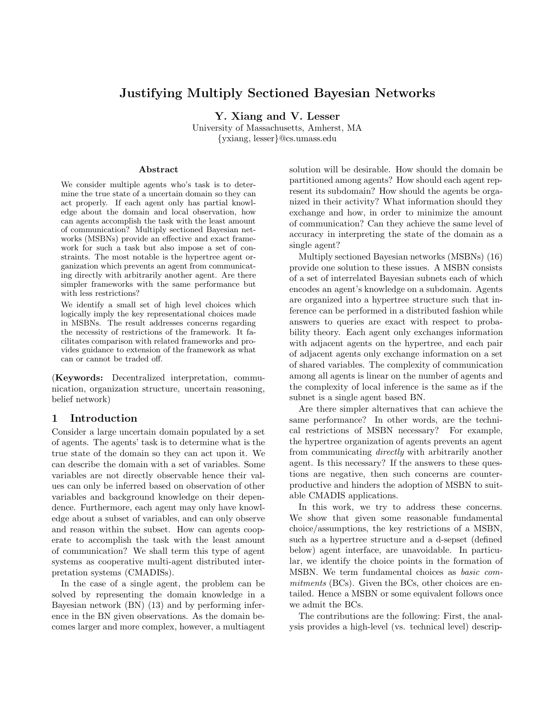# **Justifying Multiply Sectioned Bayesian Networks**

**Y. Xiang and V. Lesser**

University of Massachusetts, Amherst, MA {yxiang, lesser}@cs.umass.edu

#### **Abstract**

We consider multiple agents who's task is to determine the true state of a uncertain domain so they can act properly. If each agent only has partial knowledge about the domain and local observation, how can agents accomplish the task with the least amount of communication? Multiply sectioned Bayesian networks (MSBNs) provide an effective and exact framework for such a task but also impose a set of constraints. The most notable is the hypertree agent organization which prevents an agent from communicating directly with arbitrarily another agent. Are there simpler frameworks with the same performance but with less restrictions?

We identify a small set of high level choices which logically imply the key representational choices made in MSBNs. The result addresses concerns regarding the necessity of restrictions of the framework. It facilitates comparison with related frameworks and provides guidance to extension of the framework as what can or cannot be traded off.

(**Keywords:** Decentralized interpretation, communication, organization structure, uncertain reasoning, belief network)

### **1 Introduction**

Consider a large uncertain domain populated by a set of agents. The agents' task is to determine what is the true state of the domain so they can act upon it. We can describe the domain with a set of variables. Some variables are not directly observable hence their values can only be inferred based on observation of other variables and background knowledge on their dependence. Furthermore, each agent may only have knowledge about a subset of variables, and can only observe and reason within the subset. How can agents cooperate to accomplish the task with the least amount of communication? We shall term this type of agent systems as cooperative multi-agent distributed interpretation systems (CMADISs).

In the case of a single agent, the problem can be solved by representing the domain knowledge in a Bayesian network (BN) (13) and by performing inference in the BN given observations. As the domain becomes larger and more complex, however, a multiagent solution will be desirable. How should the domain be partitioned among agents? How should each agent represent its subdomain? How should the agents be organized in their activity? What information should they exchange and how, in order to minimize the amount of communication? Can they achieve the same level of accuracy in interpreting the state of the domain as a single agent?

Multiply sectioned Bayesian networks (MSBNs) (16) provide one solution to these issues. A MSBN consists of a set of interrelated Bayesian subnets each of which encodes an agent's knowledge on a subdomain. Agents are organized into a hypertree structure such that inference can be performed in a distributed fashion while answers to queries are exact with respect to probability theory. Each agent only exchanges information with adjacent agents on the hypertree, and each pair of adjacent agents only exchange information on a set of shared variables. The complexity of communication among all agents is linear on the number of agents and the complexity of local inference is the same as if the subnet is a single agent based BN.

Are there simpler alternatives that can achieve the same performance? In other words, are the technical restrictions of MSBN necessary? For example, the hypertree organization of agents prevents an agent from communicating *directly* with arbitrarily another agent. Is this necessary? If the answers to these questions are negative, then such concerns are counterproductive and hinders the adoption of MSBN to suitable CMADIS applications.

In this work, we try to address these concerns. We show that given some reasonable fundamental choice/assumptions, the key restrictions of a MSBN, such as a hypertree structure and a d-sepset (defined below) agent interface, are unavoidable. In particular, we identify the choice points in the formation of MSBN. We term fundamental choices as *basic commitments* (BCs). Given the BCs, other choices are entailed. Hence a MSBN or some equivalent follows once we admit the BCs.

The contributions are the following: First, the analysis provides a high-level (vs. technical level) descrip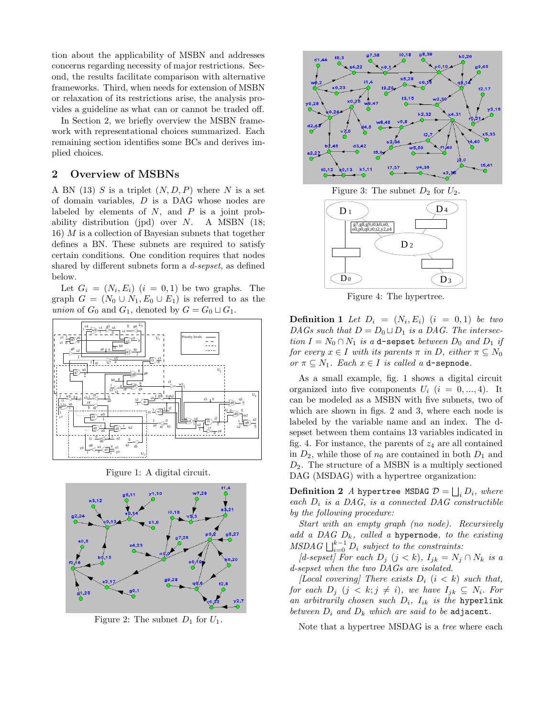tion about the applicability of MSBN and addresses concerns regarding necessity of major restrictions. Second, the results facilitate comparison with alternative frameworks. Third, when needs for extension of MSBN or relaxation of its restrictions arise, the analysis provides a guideline as what can or cannot be traded off.

In Section 2, we briefly overview the MSBN framework with representational choices summarized. Each remaining section identifies some BCs and derives implied choices.

### **2 Overview of MSBNs**

A BN  $(13)$  *S* is a triplet  $(N, D, P)$  where *N* is a set of domain variables, *D* is a DAG whose nodes are labeled by elements of *N*, and *P* is a joint probability distribution (jpd) over *N*. A MSBN (18; 16) *M* is a collection of Bayesian subnets that together defines a BN. These subnets are required to satisfy certain conditions. One condition requires that nodes shared by different subnets form a *d-sepset*, as defined below.

Let  $G_i = (N_i, E_i)$   $(i = 0, 1)$  be two graphs. The graph  $G = (N_0 \cup N_1, E_0 \cup E_1)$  is referred to as the *union* of  $G_0$  and  $G_1$ , denoted by  $G = G_0 \sqcup G_1$ .



Figure 1: A digital circuit.



Figure 2: The subnet  $D_1$  for  $U_1$ .



Figure 3: The subnet  $D_2$  for  $U_2$ .



Figure 4: The hypertree.

**Definition 1** Let  $D_i = (N_i, E_i)$   $(i = 0, 1)$  be two *DAGs such that*  $D = D_0 \sqcup D_1$  *is a DAG. The intersection*  $I = N_0 \cap N_1$  *is a* d-sepset *between*  $D_0$  *and*  $D_1$  *if for every*  $x \in I$  *with its parents*  $\pi$  *in*  $D$ *, either*  $\pi \subseteq N_0$  $or \pi \subseteq N_1$ *. Each*  $x \in I$  *is called a* d-sepnode*.* 

As a small example, fig. 1 shows a digital circuit organized into five components  $U_i$   $(i = 0, ..., 4)$ . It can be modeled as a MSBN with five subnets, two of which are shown in figs. 2 and 3, where each node is labeled by the variable name and an index. The dsepset between them contains 13 variables indicated in fig. 4. For instance, the parents of *z*<sup>4</sup> are all contained in  $D_2$ , while those of  $n_0$  are contained in both  $D_1$  and *D*2. The structure of a MSBN is a multiply sectioned DAG (MSDAG) with a hypertree organization:

**Definition 2** *A* hypertree MSDAG  $\mathcal{D} = \bigsqcup_i D_i$ , where *each D*<sup>i</sup> *is a DAG, is a connected DAG constructible by the following procedure:*

*Start with an empty graph (no node). Recursively add a DAG D*k*, called a* hypernode*, to the existing*  $MSDAG \bigsqcup_{i=0}^{k-1} D_i$  *subject to the constraints:* 

 $[d\text{-}sepset]$  *For each*  $D_j$   $(j < k)$ *,*  $I_{jk} = N_j \cap N_k$  *is a d-sepset when the two DAGs are isolated.*

[*Local covering] There exists*  $D_i$  ( $i < k$ ) *such that, for each*  $D_j$  (*j* < *k*; *j*  $\neq$  *i*)*,* we have  $I_{jk} \subseteq N_i$ *. For an arbitrarily chosen such D*i*, I*ik *is the* hyperlink *between*  $D_i$  *and*  $D_k$  *which are said to be* adjacent.

Note that a hypertree MSDAG is a *tree* where each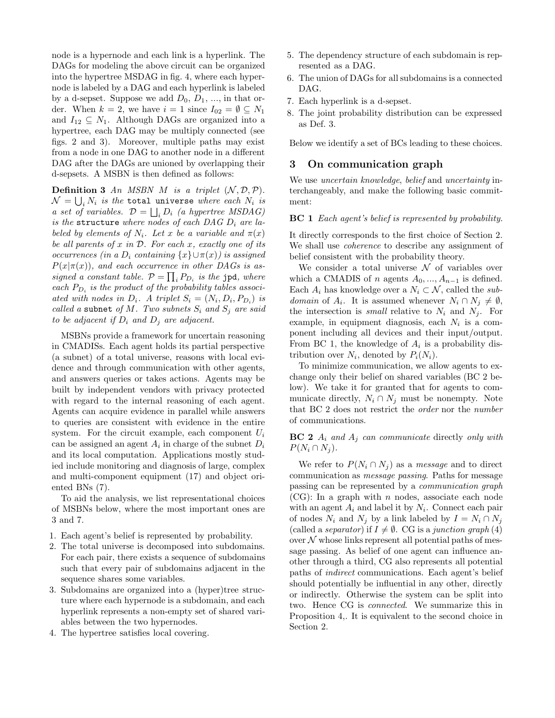node is a hypernode and each link is a hyperlink. The DAGs for modeling the above circuit can be organized into the hypertree MSDAG in fig. 4, where each hypernode is labeled by a DAG and each hyperlink is labeled by a d-sepset. Suppose we add  $D_0$ ,  $D_1$ , ..., in that order. When  $k = 2$ , we have  $i = 1$  since  $I_{02} = \emptyset \subseteq N_1$ and  $I_{12} \subseteq N_1$ . Although DAGs are organized into a hypertree, each DAG may be multiply connected (see figs. 2 and 3). Moreover, multiple paths may exist from a node in one DAG to another node in a different DAG after the DAGs are unioned by overlapping their d-sepsets. A MSBN is then defined as follows:

**Definition 3** An MSBN *M* is a triplet  $(N, D, P)$ .  $N = \bigcup_i N_i$  *is the* total universe *where each*  $N_i$  *is a set of variables.*  $\mathcal{D} = \bigsqcup_i D_i$  *(a hypertree MSDAG) is the* structure *where nodes of each DAG D*<sup>i</sup> *are labeled by elements of*  $N_i$ *. Let x be a variable and*  $\pi(x)$ *be all parents of x in* D*. For each x, exactly one of its occurrences (in a D<sub>i</sub> containing*  $\{x\} \cup \pi(x)$ ) *is assigned*  $P(x|\pi(x))$ *, and each occurrence in other DAGs is assigned a constant table.*  $P = \prod_i P_{D_i}$  *is the jpd, where* each  $P_{D_i}$  *is the product of the probability tables associated with nodes in*  $D_i$ *. A triplet*  $S_i = (N_i, D_i, P_{D_i})$  *is called a* subnet *of*  $M$ *. Two subnets*  $S_i$  *and*  $S_j$  *are said to be adjacent if*  $D_i$  *and*  $D_j$  *are adjacent.* 

MSBNs provide a framework for uncertain reasoning in CMADISs. Each agent holds its partial perspective (a subnet) of a total universe, reasons with local evidence and through communication with other agents, and answers queries or takes actions. Agents may be built by independent vendors with privacy protected with regard to the internal reasoning of each agent. Agents can acquire evidence in parallel while answers to queries are consistent with evidence in the entire system. For the circuit example, each component  $U_i$ can be assigned an agent  $A_i$  in charge of the subnet  $D_i$ and its local computation. Applications mostly studied include monitoring and diagnosis of large, complex and multi-component equipment (17) and object oriented BNs (7).

To aid the analysis, we list representational choices of MSBNs below, where the most important ones are 3 and 7.

- 1. Each agent's belief is represented by probability.
- 2. The total universe is decomposed into subdomains. For each pair, there exists a sequence of subdomains such that every pair of subdomains adjacent in the sequence shares some variables.
- 3. Subdomains are organized into a (hyper)tree structure where each hypernode is a subdomain, and each hyperlink represents a non-empty set of shared variables between the two hypernodes.
- 4. The hypertree satisfies local covering.
- 5. The dependency structure of each subdomain is represented as a DAG.
- 6. The union of DAGs for all subdomains is a connected DAG.
- 7. Each hyperlink is a d-sepset.
- 8. The joint probability distribution can be expressed as Def. 3.

Below we identify a set of BCs leading to these choices.

### **3 On communication graph**

We use *uncertain knowledge*, *belief* and *uncertainty* interchangeably, and make the following basic commitment:

#### **BC 1** *Each agent's belief is represented by probability.*

It directly corresponds to the first choice of Section 2. We shall use *coherence* to describe any assignment of belief consistent with the probability theory.

We consider a total universe  $\mathcal N$  of variables over which a CMADIS of *n* agents  $A_0, ..., A_{n-1}$  is defined. Each  $A_i$  has knowledge over a  $N_i \subset \mathcal{N}$ , called the *subdomain* of  $A_i$ . It is assumed whenever  $N_i \cap N_j \neq \emptyset$ , the intersection is *small* relative to  $N_i$  and  $N_j$ . For example, in equipment diagnosis, each  $N_i$  is a component including all devices and their input/output. From BC 1, the knowledge of  $A_i$  is a probability distribution over  $N_i$ , denoted by  $P_i(N_i)$ .

To minimize communication, we allow agents to exchange only their belief on shared variables (BC 2 below). We take it for granted that for agents to communicate directly,  $N_i \cap N_j$  must be nonempty. Note that BC 2 does not restrict the *order* nor the *number* of communications.

### **BC 2** *A*<sup>i</sup> *and A*<sup>j</sup> *can communicate* directly *only with*  $P(N_i \cap N_j)$ .

We refer to  $P(N_i \cap N_j)$  as a *message* and to direct communication as *message passing*. Paths for message passing can be represented by a *communication graph* (CG): In a graph with *n* nodes, associate each node with an agent  $A_i$  and label it by  $N_i$ . Connect each pair of nodes  $N_i$  and  $N_j$  by a link labeled by  $I = N_i \cap N_j$ (called a *separator*) if  $I \neq \emptyset$ . CG is a *junction graph* (4) over  $N$  whose links represent all potential paths of message passing. As belief of one agent can influence another through a third, CG also represents all potential paths of *indirect* communications. Each agent's belief should potentially be influential in any other, directly or indirectly. Otherwise the system can be split into two. Hence CG is *connected*. We summarize this in Proposition 4,. It is equivalent to the second choice in Section 2.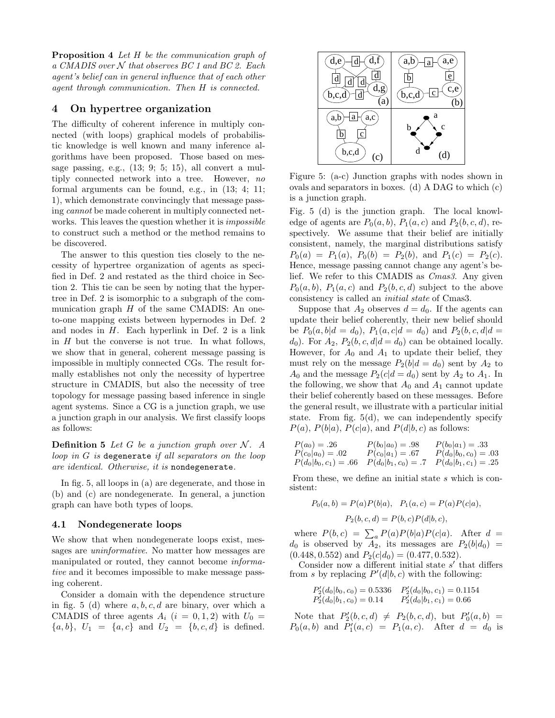**Proposition 4** *Let H be the communication graph of a CMADIS over* N *that observes BC 1 and BC 2. Each agent's belief can in general influence that of each other agent through communication. Then H is connected.*

### **4 On hypertree organization**

The difficulty of coherent inference in multiply connected (with loops) graphical models of probabilistic knowledge is well known and many inference algorithms have been proposed. Those based on message passing, e.g., (13; 9; 5; 15), all convert a multiply connected network into a tree. However, *no* formal arguments can be found, e.g., in (13; 4; 11; 1), which demonstrate convincingly that message passing *cannot* be made coherent in multiply connected networks. This leaves the question whether it is *impossible* to construct such a method or the method remains to be discovered.

The answer to this question ties closely to the necessity of hypertree organization of agents as specified in Def. 2 and restated as the third choice in Section 2. This tie can be seen by noting that the hypertree in Def. 2 is isomorphic to a subgraph of the communication graph *H* of the same CMADIS: An oneto-one mapping exists between hypernodes in Def. 2 and nodes in *H*. Each hyperlink in Def. 2 is a link in *H* but the converse is not true. In what follows, we show that in general, coherent message passing is impossible in multiply connected CGs. The result formally establishes not only the necessity of hypertree structure in CMADIS, but also the necessity of tree topology for message passing based inference in single agent systems. Since a CG is a junction graph, we use a junction graph in our analysis. We first classify loops as follows:

**Definition 5** Let  $G$  be a junction graph over  $N$ . A *loop in G is* degenerate *if all separators on the loop are identical. Otherwise, it is* nondegenerate*.*

In fig. 5, all loops in (a) are degenerate, and those in (b) and (c) are nondegenerate. In general, a junction graph can have both types of loops.

#### **4.1 Nondegenerate loops**

We show that when nondegenerate loops exist, messages are *uninformative*. No matter how messages are manipulated or routed, they cannot become *informative* and it becomes impossible to make message passing coherent.

Consider a domain with the dependence structure in fig. 5 (d) where *a, b, c, d* are binary, over which a CMADIS of three agents  $A_i$  ( $i = 0, 1, 2$ ) with  $U_0 =$  ${a, b}, U_1 = {a, c} \text{ and } U_2 = {b, c, d} \text{ is defined.}$ 



Figure 5: (a-c) Junction graphs with nodes shown in ovals and separators in boxes. (d) A DAG to which (c) is a junction graph.

Fig. 5 (d) is the junction graph. The local knowledge of agents are  $P_0(a, b)$ ,  $P_1(a, c)$  and  $P_2(b, c, d)$ , respectively. We assume that their belief are initially consistent, namely, the marginal distributions satisfy  $P_0(a) = P_1(a), P_0(b) = P_2(b), \text{ and } P_1(c) = P_2(c).$ Hence, message passing cannot change any agent's belief. We refer to this CMADIS as *Cmas3*. Any given  $P_0(a, b)$ ,  $P_1(a, c)$  and  $P_2(b, c, d)$  subject to the above consistency is called an *initial state* of Cmas3.

Suppose that  $A_2$  observes  $d = d_0$ . If the agents can update their belief coherently, their new belief should be  $P_0(a, b|d = d_0)$ ,  $P_1(a, c|d = d_0)$  and  $P_2(b, c, d|d =$  $d_0$ ). For  $A_2$ ,  $P_2(b, c, d | d = d_0)$  can be obtained locally. However, for  $A_0$  and  $A_1$  to update their belief, they must rely on the message  $P_2(b|d = d_0)$  sent by  $A_2$  to  $A_0$  and the message  $P_2(c|d = d_0)$  sent by  $A_2$  to  $A_1$ . In the following, we show that  $A_0$  and  $A_1$  cannot update their belief coherently based on these messages. Before the general result, we illustrate with a particular initial state. From fig.  $5(d)$ , we can independently specify  $P(a)$ ,  $P(b|a)$ ,  $P(c|a)$ , and  $P(d|b, c)$  as follows:

$$
P(a_0) = .26
$$
  
\n
$$
P(b_0|a_0) = .98
$$
  
\n
$$
P(b_0|a_1) = .33
$$
  
\n
$$
P(c_0|a_0) = .02
$$
  
\n
$$
P(c_0|a_1) = .67
$$
  
\n
$$
P(d_0|b_0, c_0) = .03
$$
  
\n
$$
P(d_0|b_1, c_0) = .7
$$
  
\n
$$
P(d_0|b_1, c_1) = .25
$$

From these, we define an initial state *s* which is consistent:

$$
P_0(a, b) = P(a)P(b|a), \quad P_1(a, c) = P(a)P(c|a),
$$
  

$$
P_2(b, c, d) = P(b, c)P(d|b, c),
$$

where  $P(b, c) = \sum_a P(a)P(b|a)P(c|a)$ . After  $d =$  $d_0$  is observed by  $A_2$ , its messages are  $P_2(b|d_0)$  =  $(0.448, 0.552)$  and  $P_2(c|d_0) = (0.477, 0.532)$ .

Consider now a different initial state  $s'$  that differs from *s* by replacing  $P'(d|b, c)$  with the following:

$$
P'_2(d_0|b_0, c_0) = 0.5336
$$
  $P'_2(d_0|b_0, c_1) = 0.1154$   
\n $P'_2(d_0|b_1, c_0) = 0.14$   $P'_2(d_0|b_1, c_1) = 0.66$ 

Note that  $P'_2(b, c, d) \neq P_2(b, c, d)$ , but  $P'_0(a, b) =$  $P_0(a, b)$  and  $P'_1(a, c) = P_1(a, c)$ . After  $d = d_0$  is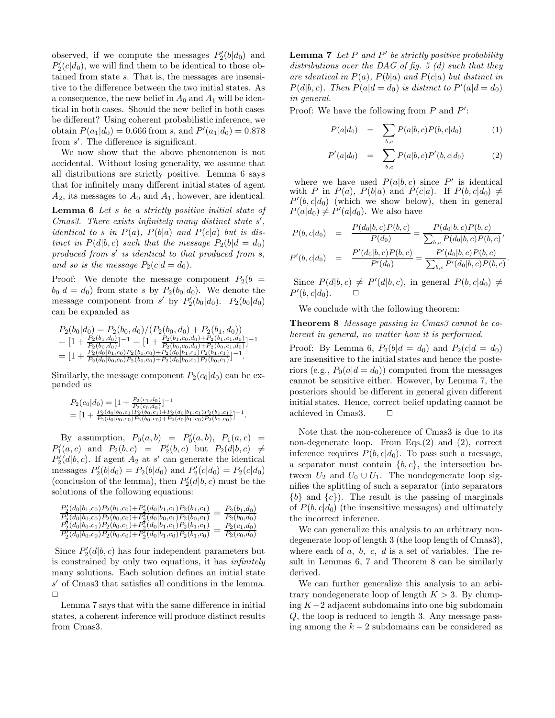observed, if we compute the messages  $P_2'(b|d_0)$  and  $P'_{2}(c|d_0)$ , we will find them to be identical to those obtained from state *s*. That is, the messages are insensitive to the difference between the two initial states. As a consequence, the new belief in  $A_0$  and  $A_1$  will be identical in both cases. Should the new belief in both cases be different? Using coherent probabilistic inference, we obtain  $P(a_1|d_0) = 0.666$  from *s*, and  $P'(a_1|d_0) = 0.878$ from *s'*. The difference is significant.

We now show that the above phenomenon is not accidental. Without losing generality, we assume that all distributions are strictly positive. Lemma 6 says that for infinitely many different initial states of agent  $A_2$ , its messages to  $A_0$  and  $A_1$ , however, are identical.

**Lemma 6** *Let s be a strictly positive initial state of Cmas3. There exists infinitely many distinct state*  $s'$ , *identical to s in*  $P(a)$ *,*  $P(b|a)$  *and*  $P(c|a)$  *but is distinct in*  $P(d|b, c)$  *such that the message*  $P_2(b|d = d_0)$ *produced from s*<sup>0</sup> *is identical to that produced from s, and so is the message*  $P_2(c|d = d_0)$ *.* 

Proof: We denote the message component  $P_2(b)$  $b_0|d = d_0$  from state *s* by  $P_2(b_0|d_0)$ . We denote the message component from *s'* by  $P_2'(b_0|d_0)$ .  $P_2(b_0|d_0)$ can be expanded as

$$
P_2(b_0|d_0) = P_2(b_0, d_0) / (P_2(b_0, d_0) + P_2(b_1, d_0))
$$
  
= 
$$
[1 + \frac{P_2(b_1, d_0)}{P_2(b_0, d_0)}]^{-1} = [1 + \frac{P_2(b_1, c_0, d_0) + P_2(b_1, c_1, d_0)}{P_2(b_0, c_0, d_0) + P_2(b_0, c_1, d_0)}]^{-1}
$$
  
= 
$$
[1 + \frac{P_2(d_0|b_1, c_0)P_2(b_1, c_0) + P_2(d_0|b_1, c_1)P_2(b_1, c_1)}{P_2(d_0|b_0, c_0)P_2(b_0, c_0) + P_2(d_0|b_0, c_1)P_2(b_0, c_1)}]^{-1}.
$$

Similarly, the message component  $P_2(c_0|d_0)$  can be expanded as

$$
P_2(c_0|d_0) = [1 + \frac{P_2(c_1,d_0)}{P_2(c_0,d_0)}]^{-1}
$$
  
= 
$$
[1 + \frac{P_2(d_0|b_0,c_1)P_2(b_0,c_1) + P_2(d_0|b_1,c_1)P_2(b_1,c_1)}{P_2(d_0|b_0,c_0)P_2(b_0,c_0) + P_2(d_0|b_1,c_0)P_2(b_1,c_0)}]^{-1}.
$$

By assumption,  $P_0(a, b) = P'_0(a, b)$ ,  $P_1(a, c) =$  $P'_1(a, c)$  and  $P_2(b, c) = P'_2(b, c)$  but  $P_2(d|b, c) \neq$  $P'_{2}(d|b, c)$ . If agent  $A_{2}$  at *s'* can generate the identical messages  $P_2'(b|d_0) = P_2(b|d_0)$  and  $P_2'(c|d_0) = P_2(c|d_0)$ (conclusion of the lemma), then  $P'_{2}(d|b, c)$  must be the solutions of the following equations:

$$
\frac{P'_2(d_0|b_1,c_0)P_2(b_1,c_0)+P'_2(d_0|b_1,c_1)P_2(b_1,c_1)}{P'_2(d_0|b_0,c_0)P_2(b_0,c_0)+P'_2(d_0|b_0,c_1)P_2(b_0,c_1)} = \frac{P_2(b_1,d_0)}{P_2(b_0,d_0)}
$$
  

$$
\frac{P'_2(d_0|b_0,c_1)P_2(b_0,c_1)+P'_2(d_0|b_1,c_1)P_2(b_1,c_1)}{P'_2(d_0|b_0,c_0)+P'_2(d_0|b_1,c_0)P_2(b_1,c_0)} = \frac{P_2(c_1,d_0)}{P_2(c_0,d_0)}
$$

Since  $P'_{2}(d|b, c)$  has four independent parameters but is constrained by only two equations, it has *infinitely* many solutions. Each solution defines an initial state *s*<sup> $\prime$ </sup> of Cmas3 that satisfies all conditions in the lemma.  $\Box$ 

Lemma 7 says that with the same difference in initial states, a coherent inference will produce distinct results from Cmas3.

**Lemma 7** Let  $P$  and  $P'$  be strictly positive probability *distributions over the DAG of fig. 5 (d) such that they are identical in*  $P(a)$ *,*  $P(b|a)$  *and*  $P(c|a)$  *but distinct in P*(*d*|*b*,*c*)*. Then*  $P(a|d = d_0)$  *is distinct to*  $P'(a|d = d_0)$ *in general.*

Proof: We have the following from *P* and *P*':

$$
P(a|d_0) = \sum_{b,c} P(a|b,c)P(b,c|d_0)
$$
 (1)

$$
P'(a|d_0) = \sum_{b,c} P(a|b,c)P'(b,c|d_0)
$$
 (2)

.

where we have used  $P(a|b, c)$  since  $P'$  is identical with *P* in  $P(a)$ ,  $P(b|a)$  and  $P(c|a)$ . If  $P(b, c|d_0) \neq$  $P'(b, c|d_0)$  (which we show below), then in general  $P(a|d_0) \neq P'(a|d_0)$ . We also have

$$
P(b, c|d_0) = \frac{P(d_0|b, c)P(b, c)}{P(d_0)} = \frac{P(d_0|b, c)P(b, c)}{\sum_{b,c} P(d_0|b, c)P(b, c)},
$$
  

$$
P'(b, c|d_0) = \frac{P'(d_0|b, c)P(b, c)}{P'(d_0)} = \frac{P'(d_0|b, c)P(b, c)}{\sum_{b,c} P'(d_0|b, c)P(b, c)}
$$

Since  $P(d|b, c) \neq P'(d|b, c)$ , in general  $P(b, c|d_0) \neq$  $P'(b, c|d_0)$ .  $\Box$ 

We conclude with the following theorem:

**Theorem 8** *Message passing in Cmas3 cannot be coherent in general, no matter how it is performed.*

Proof: By Lemma 6,  $P_2(b|d = d_0)$  and  $P_2(c|d = d_0)$ are insensitive to the initial states and hence the posteriors (e.g.,  $P_0(a|d = d_0)$ ) computed from the messages cannot be sensitive either. However, by Lemma 7, the posteriors should be different in general given different initial states. Hence, correct belief updating cannot be achieved in Cmas3.  $\Box$ 

Note that the non-coherence of Cmas3 is due to its non-degenerate loop. From Eqs.(2) and (2), correct inference requires  $P(b, c|d_0)$ . To pass such a message, a separator must contain  ${b, c}$ , the intersection between  $U_2$  and  $U_0 \cup U_1$ . The nondegenerate loop signifies the splitting of such a separator (into separators  ${b}$  and  ${c}$ ). The result is the passing of marginals of  $P(b, c|d_0)$  (the insensitive messages) and ultimately the incorrect inference.

We can generalize this analysis to an arbitrary nondegenerate loop of length 3 (the loop length of Cmas3), where each of *a, b, c, d* is a set of variables. The result in Lemmas 6, 7 and Theorem 8 can be similarly derived.

We can further generalize this analysis to an arbitrary nondegenerate loop of length  $K > 3$ . By clumping *K* −2 adjacent subdomains into one big subdomain *Q*, the loop is reduced to length 3. Any message passing among the  $k - 2$  subdomains can be considered as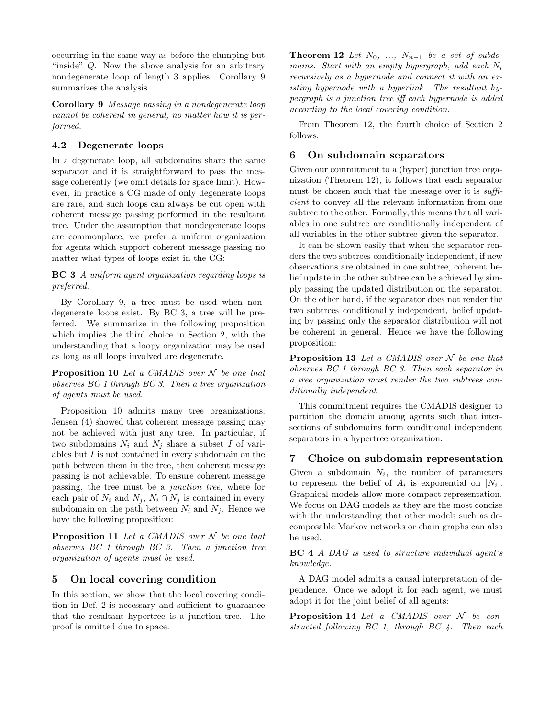occurring in the same way as before the clumping but "inside" *Q*. Now the above analysis for an arbitrary nondegenerate loop of length 3 applies. Corollary 9 summarizes the analysis.

**Corollary 9** *Message passing in a nondegenerate loop cannot be coherent in general, no matter how it is performed.*

### **4.2 Degenerate loops**

In a degenerate loop, all subdomains share the same separator and it is straightforward to pass the message coherently (we omit details for space limit). However, in practice a CG made of only degenerate loops are rare, and such loops can always be cut open with coherent message passing performed in the resultant tree. Under the assumption that nondegenerate loops are commonplace, we prefer a uniform organization for agents which support coherent message passing no matter what types of loops exist in the CG:

**BC 3** *A uniform agent organization regarding loops is preferred.*

By Corollary 9, a tree must be used when nondegenerate loops exist. By BC 3, a tree will be preferred. We summarize in the following proposition which implies the third choice in Section 2, with the understanding that a loopy organization may be used as long as all loops involved are degenerate.

**Proposition 10** *Let a CMADIS over* N *be one that observes BC 1 through BC 3. Then a tree organization of agents must be used.*

Proposition 10 admits many tree organizations. Jensen (4) showed that coherent message passing may not be achieved with just any tree. In particular, if two subdomains  $N_i$  and  $N_j$  share a subset *I* of variables but *I* is not contained in every subdomain on the path between them in the tree, then coherent message passing is not achievable. To ensure coherent message passing, the tree must be a *junction tree*, where for each pair of  $N_i$  and  $N_j$ ,  $N_i \cap N_j$  is contained in every subdomain on the path between  $N_i$  and  $N_j$ . Hence we have the following proposition:

**Proposition 11** *Let a CMADIS over* N *be one that observes BC 1 through BC 3. Then a junction tree organization of agents must be used.*

# **5 On local covering condition**

In this section, we show that the local covering condition in Def. 2 is necessary and sufficient to guarantee that the resultant hypertree is a junction tree. The proof is omitted due to space.

**Theorem 12** *Let*  $N_0$ , ...,  $N_{n-1}$  *be a set of subdomains. Start with an empty hypergraph, add each N*<sup>i</sup> *recursively as a hypernode and connect it with an existing hypernode with a hyperlink. The resultant hypergraph is a junction tree iff each hypernode is added according to the local covering condition.*

From Theorem 12, the fourth choice of Section 2 follows.

# **6 On subdomain separators**

Given our commitment to a (hyper) junction tree organization (Theorem 12), it follows that each separator must be chosen such that the message over it is *sufficient* to convey all the relevant information from one subtree to the other. Formally, this means that all variables in one subtree are conditionally independent of all variables in the other subtree given the separator.

It can be shown easily that when the separator renders the two subtrees conditionally independent, if new observations are obtained in one subtree, coherent belief update in the other subtree can be achieved by simply passing the updated distribution on the separator. On the other hand, if the separator does not render the two subtrees conditionally independent, belief updating by passing only the separator distribution will not be coherent in general. Hence we have the following proposition:

**Proposition 13** *Let a CMADIS over* N *be one that observes BC 1 through BC 3. Then each separator in a tree organization must render the two subtrees conditionally independent.*

This commitment requires the CMADIS designer to partition the domain among agents such that intersections of subdomains form conditional independent separators in a hypertree organization.

# **7 Choice on subdomain representation**

Given a subdomain  $N_i$ , the number of parameters to represent the belief of  $A_i$  is exponential on  $|N_i|$ . Graphical models allow more compact representation. We focus on DAG models as they are the most concise with the understanding that other models such as decomposable Markov networks or chain graphs can also be used.

**BC 4** *A DAG is used to structure individual agent's knowledge.*

A DAG model admits a causal interpretation of dependence. Once we adopt it for each agent, we must adopt it for the joint belief of all agents:

**Proposition 14** *Let a CMADIS over* N *be constructed following BC 1, through BC 4. Then each*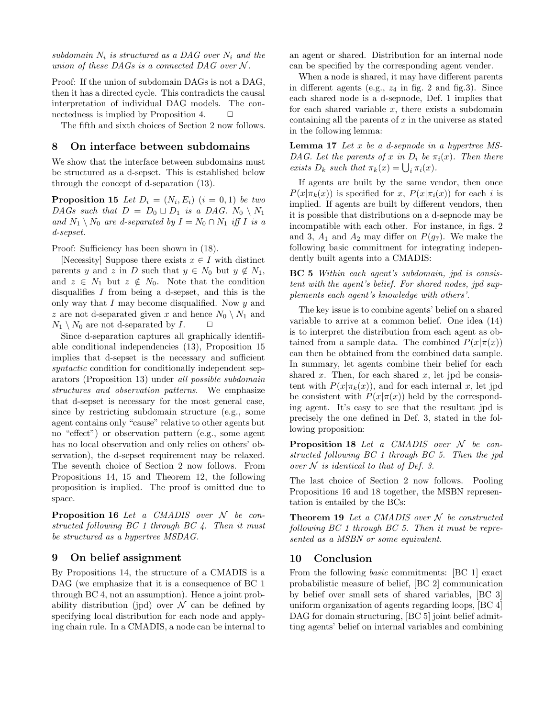$subdomain N_i$  *is structured as a DAG over*  $N_i$  *and the union of these DAGs is a connected DAG over*  $N$ *.* 

Proof: If the union of subdomain DAGs is not a DAG, then it has a directed cycle. This contradicts the causal interpretation of individual DAG models. The connectedness is implied by Proposition 4.

The fifth and sixth choices of Section 2 now follows.

#### **8 On interface between subdomains**

We show that the interface between subdomains must be structured as a d-sepset. This is established below through the concept of d-separation (13).

**Proposition 15** *Let*  $D_i = (N_i, E_i)$  (*i* = 0, 1) *be two DAGs such that*  $D = D_0 \sqcup D_1$  *is a DAG.*  $N_0 \setminus N_1$ *and*  $N_1 \setminus N_0$  *are d-separated by*  $I = N_0 \cap N_1$  *iff I is a d-sepset.*

Proof: Sufficiency has been shown in (18).

[Necessity] Suppose there exists  $x \in I$  with distinct parents *y* and *z* in *D* such that  $y \in N_0$  but  $y \notin N_1$ , and  $z \in N_1$  but  $z \notin N_0$ . Note that the condition disqualifies *I* from being a d-sepset, and this is the only way that *I* may become disqualified. Now *y* and *z* are not d-separated given *x* and hence  $N_0 \setminus N_1$  and  $N_1 \setminus N_0$  are not d-separated by *I*.  $\Box$ 

Since d-separation captures all graphically identifiable conditional independencies (13), Proposition 15 implies that d-sepset is the necessary and sufficient *syntactic* condition for conditionally independent separators (Proposition 13) under *all possible subdomain structures and observation patterns*. We emphasize that d-sepset is necessary for the most general case, since by restricting subdomain structure (e.g., some agent contains only "cause" relative to other agents but no "effect") or observation pattern (e.g., some agent has no local observation and only relies on others' observation), the d-sepset requirement may be relaxed. The seventh choice of Section 2 now follows. From Propositions 14, 15 and Theorem 12, the following proposition is implied. The proof is omitted due to space.

**Proposition 16** *Let a CMADIS over* N *be constructed following BC 1 through BC 4. Then it must be structured as a hypertree MSDAG.*

### **9 On belief assignment**

By Propositions 14, the structure of a CMADIS is a DAG (we emphasize that it is a consequence of BC 1 through BC 4, not an assumption). Hence a joint probability distribution (ipd) over  $\mathcal N$  can be defined by specifying local distribution for each node and applying chain rule. In a CMADIS, a node can be internal to

an agent or shared. Distribution for an internal node can be specified by the corresponding agent vender.

When a node is shared, it may have different parents in different agents (e.g., *z*<sup>4</sup> in fig. 2 and fig.3). Since each shared node is a d-sepnode, Def. 1 implies that for each shared variable *x*, there exists a subdomain containing all the parents of *x* in the universe as stated in the following lemma:

**Lemma 17** *Let x be a d-sepnode in a hypertree MS-DAG. Let the parents of x in*  $D_i$  *be*  $\pi_i(x)$ *. Then there exists*  $D_k$  *such that*  $\pi_k(x) = \bigcup_i \pi_i(x)$ *.* 

If agents are built by the same vendor, then once  $P(x|\pi_k(x))$  is specified for *x*,  $P(x|\pi_i(x))$  for each *i* is implied. If agents are built by different vendors, then it is possible that distributions on a d-sepnode may be incompatible with each other. For instance, in figs. 2 and 3,  $A_1$  and  $A_2$  may differ on  $P(q_7)$ . We make the following basic commitment for integrating independently built agents into a CMADIS:

**BC 5** *Within each agent's subdomain, jpd is consistent with the agent's belief. For shared nodes, jpd supplements each agent's knowledge with others'.*

The key issue is to combine agents' belief on a shared variable to arrive at a common belief. One idea (14) is to interpret the distribution from each agent as obtained from a sample data. The combined  $P(x|\pi(x))$ can then be obtained from the combined data sample. In summary, let agents combine their belief for each shared  $x$ . Then, for each shared  $x$ , let jpd be consistent with  $P(x|\pi_k(x))$ , and for each internal *x*, let jpd be consistent with  $P(x|\pi(x))$  held by the corresponding agent. It's easy to see that the resultant jpd is precisely the one defined in Def. 3, stated in the following proposition:

**Proposition 18** *Let a CMADIS over* N *be constructed following BC 1 through BC 5. Then the jpd over* N *is identical to that of Def. 3.*

The last choice of Section 2 now follows. Pooling Propositions 16 and 18 together, the MSBN representation is entailed by the BCs:

**Theorem 19** *Let a CMADIS over* N *be constructed following BC 1 through BC 5. Then it must be represented as a MSBN or some equivalent.*

### **10 Conclusion**

From the following *basic* commitments: [BC 1] exact probabilistic measure of belief, [BC 2] communication by belief over small sets of shared variables, [BC 3] uniform organization of agents regarding loops, [BC 4] DAG for domain structuring, [BC 5] joint belief admitting agents' belief on internal variables and combining